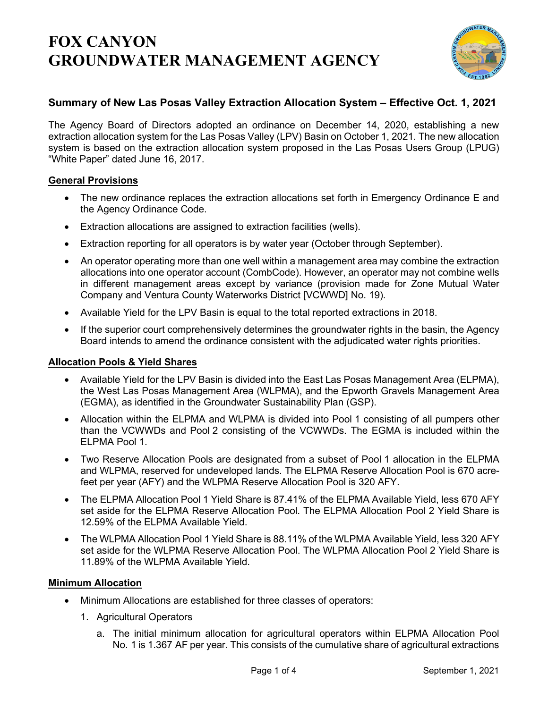

## **Summary of New Las Posas Valley Extraction Allocation System – Effective Oct. 1, 2021**

The Agency Board of Directors adopted an ordinance on December 14, 2020, establishing a new extraction allocation system for the Las Posas Valley (LPV) Basin on October 1, 2021. The new allocation system is based on the extraction allocation system proposed in the Las Posas Users Group (LPUG) "White Paper" dated June 16, 2017.

### **General Provisions**

- The new ordinance replaces the extraction allocations set forth in Emergency Ordinance E and the Agency Ordinance Code.
- Extraction allocations are assigned to extraction facilities (wells).
- Extraction reporting for all operators is by water year (October through September).
- An operator operating more than one well within a management area may combine the extraction allocations into one operator account (CombCode). However, an operator may not combine wells in different management areas except by variance (provision made for Zone Mutual Water Company and Ventura County Waterworks District [VCWWD] No. 19).
- Available Yield for the LPV Basin is equal to the total reported extractions in 2018.
- If the superior court comprehensively determines the groundwater rights in the basin, the Agency Board intends to amend the ordinance consistent with the adjudicated water rights priorities.

### **Allocation Pools & Yield Shares**

- Available Yield for the LPV Basin is divided into the East Las Posas Management Area (ELPMA), the West Las Posas Management Area (WLPMA), and the Epworth Gravels Management Area (EGMA), as identified in the Groundwater Sustainability Plan (GSP).
- Allocation within the ELPMA and WLPMA is divided into Pool 1 consisting of all pumpers other than the VCWWDs and Pool 2 consisting of the VCWWDs. The EGMA is included within the ELPMA Pool 1.
- Two Reserve Allocation Pools are designated from a subset of Pool 1 allocation in the ELPMA and WLPMA, reserved for undeveloped lands. The ELPMA Reserve Allocation Pool is 670 acrefeet per year (AFY) and the WLPMA Reserve Allocation Pool is 320 AFY.
- The ELPMA Allocation Pool 1 Yield Share is 87.41% of the ELPMA Available Yield, less 670 AFY set aside for the ELPMA Reserve Allocation Pool. The ELPMA Allocation Pool 2 Yield Share is 12.59% of the ELPMA Available Yield.
- The WLPMA Allocation Pool 1 Yield Share is 88.11% of the WLPMA Available Yield, less 320 AFY set aside for the WLPMA Reserve Allocation Pool. The WLPMA Allocation Pool 2 Yield Share is 11.89% of the WLPMA Available Yield.

### **Minimum Allocation**

- Minimum Allocations are established for three classes of operators:
	- 1. Agricultural Operators
		- a. The initial minimum allocation for agricultural operators within ELPMA Allocation Pool No. 1 is 1.367 AF per year. This consists of the cumulative share of agricultural extractions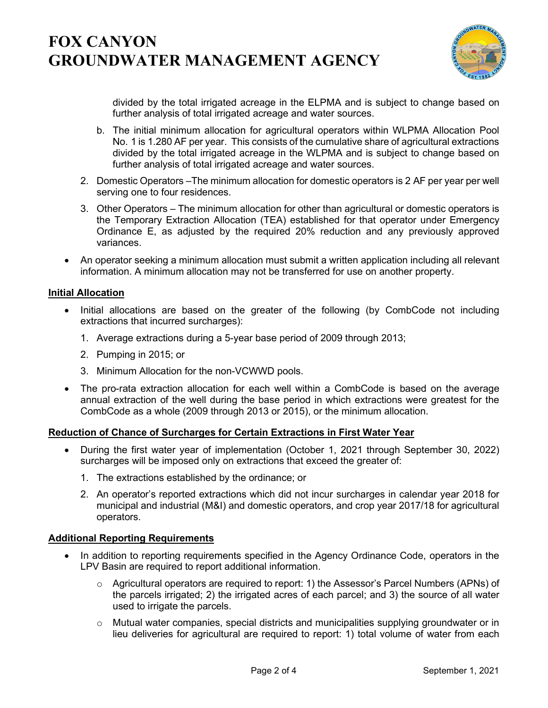

divided by the total irrigated acreage in the ELPMA and is subject to change based on further analysis of total irrigated acreage and water sources.

- b. The initial minimum allocation for agricultural operators within WLPMA Allocation Pool No. 1 is 1.280 AF per year. This consists of the cumulative share of agricultural extractions divided by the total irrigated acreage in the WLPMA and is subject to change based on further analysis of total irrigated acreage and water sources.
- 2. Domestic Operators –The minimum allocation for domestic operators is 2 AF per year per well serving one to four residences.
- 3. Other Operators The minimum allocation for other than agricultural or domestic operators is the Temporary Extraction Allocation (TEA) established for that operator under Emergency Ordinance E, as adjusted by the required 20% reduction and any previously approved variances.
- An operator seeking a minimum allocation must submit a written application including all relevant information. A minimum allocation may not be transferred for use on another property.

### **Initial Allocation**

- Initial allocations are based on the greater of the following (by CombCode not including extractions that incurred surcharges):
	- 1. Average extractions during a 5-year base period of 2009 through 2013;
	- 2. Pumping in 2015; or
	- 3. Minimum Allocation for the non-VCWWD pools.
- The pro-rata extraction allocation for each well within a CombCode is based on the average annual extraction of the well during the base period in which extractions were greatest for the CombCode as a whole (2009 through 2013 or 2015), or the minimum allocation.

### **Reduction of Chance of Surcharges for Certain Extractions in First Water Year**

- During the first water year of implementation (October 1, 2021 through September 30, 2022) surcharges will be imposed only on extractions that exceed the greater of:
	- 1. The extractions established by the ordinance; or
	- 2. An operator's reported extractions which did not incur surcharges in calendar year 2018 for municipal and industrial (M&I) and domestic operators, and crop year 2017/18 for agricultural operators.

### **Additional Reporting Requirements**

- In addition to reporting requirements specified in the Agency Ordinance Code, operators in the LPV Basin are required to report additional information.
	- $\circ$  Agricultural operators are required to report: 1) the Assessor's Parcel Numbers (APNs) of the parcels irrigated; 2) the irrigated acres of each parcel; and 3) the source of all water used to irrigate the parcels.
	- $\circ$  Mutual water companies, special districts and municipalities supplying groundwater or in lieu deliveries for agricultural are required to report: 1) total volume of water from each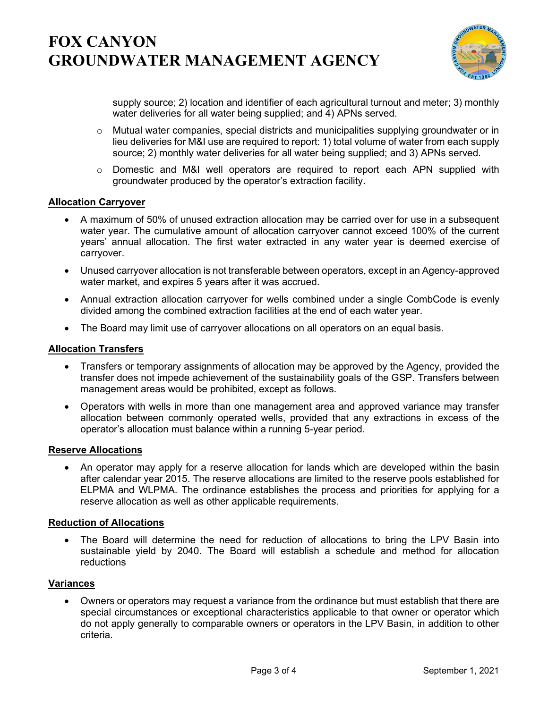

supply source; 2) location and identifier of each agricultural turnout and meter; 3) monthly water deliveries for all water being supplied; and 4) APNs served.

- o Mutual water companies, special districts and municipalities supplying groundwater or in lieu deliveries for M&I use are required to report: 1) total volume of water from each supply source; 2) monthly water deliveries for all water being supplied; and 3) APNs served.
- $\circ$  Domestic and M&I well operators are required to report each APN supplied with groundwater produced by the operator's extraction facility.

### **Allocation Carryover**

- A maximum of 50% of unused extraction allocation may be carried over for use in a subsequent water year. The cumulative amount of allocation carryover cannot exceed 100% of the current years' annual allocation. The first water extracted in any water year is deemed exercise of carryover.
- Unused carryover allocation is not transferable between operators, except in an Agency-approved water market, and expires 5 years after it was accrued.
- Annual extraction allocation carryover for wells combined under a single CombCode is evenly divided among the combined extraction facilities at the end of each water year.
- The Board may limit use of carryover allocations on all operators on an equal basis.

### **Allocation Transfers**

- Transfers or temporary assignments of allocation may be approved by the Agency, provided the transfer does not impede achievement of the sustainability goals of the GSP. Transfers between management areas would be prohibited, except as follows.
- Operators with wells in more than one management area and approved variance may transfer allocation between commonly operated wells, provided that any extractions in excess of the operator's allocation must balance within a running 5-year period.

### **Reserve Allocations**

• An operator may apply for a reserve allocation for lands which are developed within the basin after calendar year 2015. The reserve allocations are limited to the reserve pools established for ELPMA and WLPMA. The ordinance establishes the process and priorities for applying for a reserve allocation as well as other applicable requirements.

### **Reduction of Allocations**

• The Board will determine the need for reduction of allocations to bring the LPV Basin into sustainable yield by 2040. The Board will establish a schedule and method for allocation reductions

### **Variances**

• Owners or operators may request a variance from the ordinance but must establish that there are special circumstances or exceptional characteristics applicable to that owner or operator which do not apply generally to comparable owners or operators in the LPV Basin, in addition to other criteria.